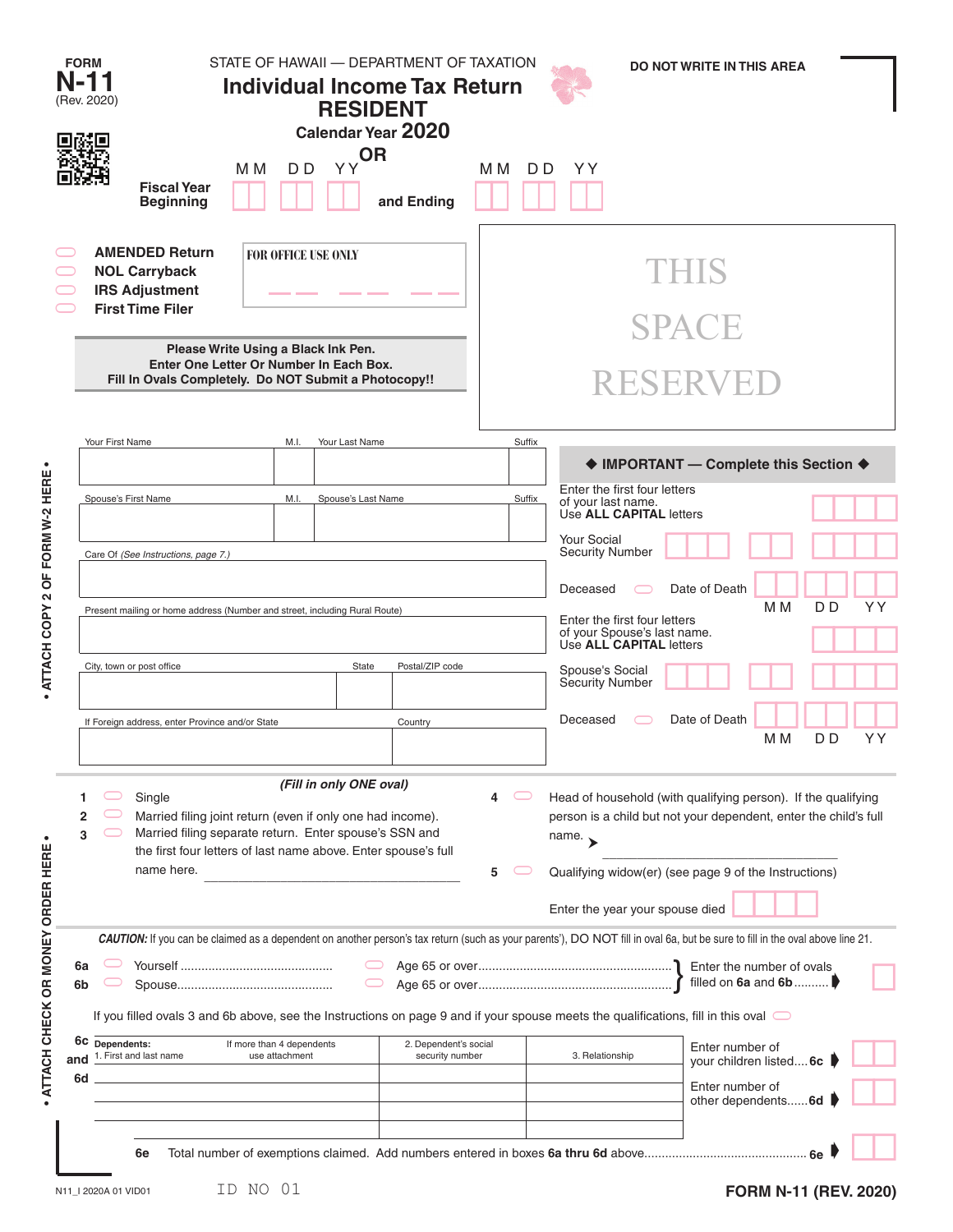| <b>FORM</b><br>N-11<br>(Rev. 2020)           |                                                                                                                                                                                                                                                     |                                                                                | STATE OF HAWAII - DEPARTMENT OF TAXATION<br><b>Individual Income Tax Return</b><br><b>RESIDENT</b><br>Calendar Year 2020 |                                                                           | <b>DO NOT WRITE IN THIS AREA</b>                                                                                                                                                                                                                                                                                                                                      |
|----------------------------------------------|-----------------------------------------------------------------------------------------------------------------------------------------------------------------------------------------------------------------------------------------------------|--------------------------------------------------------------------------------|--------------------------------------------------------------------------------------------------------------------------|---------------------------------------------------------------------------|-----------------------------------------------------------------------------------------------------------------------------------------------------------------------------------------------------------------------------------------------------------------------------------------------------------------------------------------------------------------------|
|                                              | <b>Fiscal Year</b><br><b>Beginning</b>                                                                                                                                                                                                              | D <sub>D</sub><br>M M                                                          | <b>OR</b><br><b>YY</b><br>and Ending                                                                                     | M M<br>D <sub>D</sub>                                                     | YΥ                                                                                                                                                                                                                                                                                                                                                                    |
|                                              | <b>AMENDED Return</b><br><b>NOL Carryback</b><br><b>IRS Adjustment</b><br><b>First Time Filer</b>                                                                                                                                                   | <b>FOR OFFICE USE ONLY</b>                                                     |                                                                                                                          |                                                                           | THIS                                                                                                                                                                                                                                                                                                                                                                  |
|                                              | Fill In Ovals Completely. Do NOT Submit a Photocopy!!                                                                                                                                                                                               | Please Write Using a Black Ink Pen.<br>Enter One Letter Or Number In Each Box. |                                                                                                                          |                                                                           | <b>SPACE</b><br>RESERVED                                                                                                                                                                                                                                                                                                                                              |
| ٠                                            | Your First Name                                                                                                                                                                                                                                     | M.I.                                                                           | Your Last Name                                                                                                           | Suffix                                                                    | ♦ IMPORTANT - Complete this Section ♦                                                                                                                                                                                                                                                                                                                                 |
|                                              | Spouse's First Name                                                                                                                                                                                                                                 | M.I.                                                                           | Spouse's Last Name                                                                                                       | Suffix                                                                    | Enter the first four letters<br>of your last name.<br>Use ALL CAPITAL letters                                                                                                                                                                                                                                                                                         |
| ATTACH COPY 2 OF FORM W-2 HERE               | Care Of (See Instructions, page 7.)                                                                                                                                                                                                                 |                                                                                |                                                                                                                          | <b>Your Social</b><br><b>Security Number</b><br>Date of Death<br>Deceased |                                                                                                                                                                                                                                                                                                                                                                       |
|                                              | Present mailing or home address (Number and street, including Rural Route)                                                                                                                                                                          |                                                                                |                                                                                                                          |                                                                           | M <sub>M</sub><br>YY<br>D D<br>Enter the first four letters<br>of your Spouse's last name.<br>Use <b>ALL CAPITAL</b> letters                                                                                                                                                                                                                                          |
|                                              | Postal/ZIP code<br>City, town or post office<br>State                                                                                                                                                                                               |                                                                                |                                                                                                                          |                                                                           | Spouse's Social<br><b>Security Number</b>                                                                                                                                                                                                                                                                                                                             |
|                                              | If Foreign address, enter Province and/or State                                                                                                                                                                                                     |                                                                                | Country                                                                                                                  |                                                                           | Date of Death<br>Deceased<br>M <sub>M</sub><br>YY<br>D D                                                                                                                                                                                                                                                                                                              |
| 1<br>3                                       | (Fill in only ONE oval)<br>Single<br>4<br>Married filing joint return (even if only one had income).<br>Married filing separate return. Enter spouse's SSN and<br>the first four letters of last name above. Enter spouse's full<br>name here.<br>5 |                                                                                |                                                                                                                          |                                                                           | Head of household (with qualifying person). If the qualifying<br>person is a child but not your dependent, enter the child's full<br>name. $\rightarrow$<br>Qualifying widow(er) (see page 9 of the Instructions)<br>Enter the year your spouse died                                                                                                                  |
| ATTACH CHECK OR MONEY ORDER HERE<br>6а<br>6b |                                                                                                                                                                                                                                                     |                                                                                |                                                                                                                          |                                                                           | CAUTION: If you can be claimed as a dependent on another person's tax return (such as your parents'), DO NOT fill in oval 6a, but be sure to fill in the oval above line 21.<br>Enter the number of ovals<br>filled on 6a and 6b<br>If you filled ovals 3 and 6b above, see the Instructions on page 9 and if your spouse meets the qualifications, fill in this oval |
| 6c<br>and<br>6d                              | Dependents:<br>1. First and last name                                                                                                                                                                                                               | If more than 4 dependents<br>use attachment                                    | 2. Dependent's social<br>security number                                                                                 |                                                                           | Enter number of<br>3. Relationship<br>your children listed 6c<br>Enter number of                                                                                                                                                                                                                                                                                      |
|                                              | 6e                                                                                                                                                                                                                                                  |                                                                                |                                                                                                                          |                                                                           | other dependents6d                                                                                                                                                                                                                                                                                                                                                    |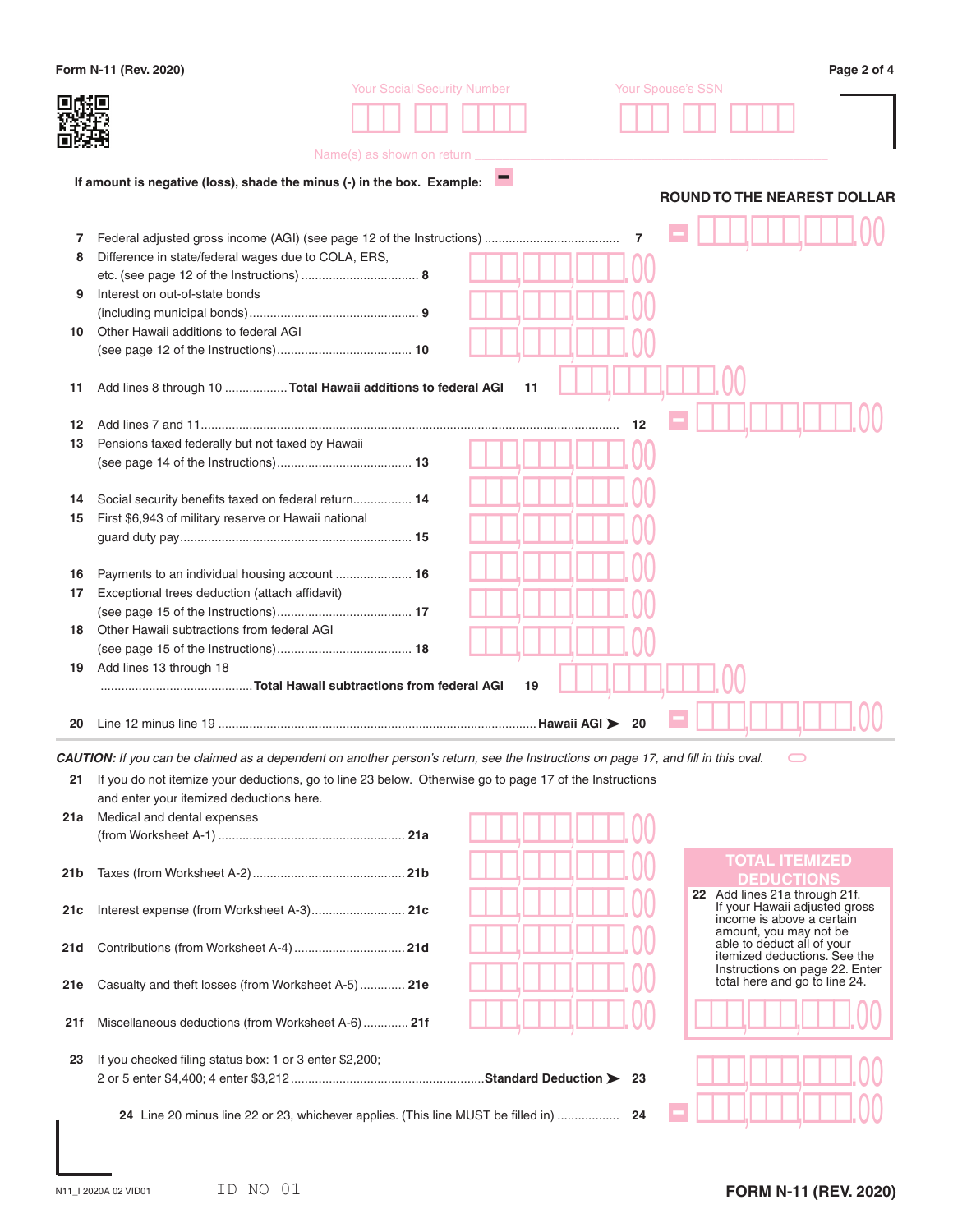|      | Form N-11 (Rev. 2020)                                                                                                             |    |     |                   | Page 2 of 4                                                    |
|------|-----------------------------------------------------------------------------------------------------------------------------------|----|-----|-------------------|----------------------------------------------------------------|
|      | <b>Your Social Security Number</b>                                                                                                |    |     | Your Spouse's SSN |                                                                |
|      |                                                                                                                                   |    |     |                   |                                                                |
|      | Name(s) as shown on return                                                                                                        |    |     |                   |                                                                |
|      |                                                                                                                                   |    |     |                   |                                                                |
|      | If amount is negative (loss), shade the minus (-) in the box. Example:                                                            |    |     |                   | <b>ROUND TO THE NEAREST DOLLAR</b>                             |
|      |                                                                                                                                   |    |     |                   |                                                                |
| 7    |                                                                                                                                   |    | 7   |                   |                                                                |
| 8    | Difference in state/federal wages due to COLA, ERS,                                                                               |    |     |                   |                                                                |
|      |                                                                                                                                   |    |     |                   |                                                                |
| 9    | Interest on out-of-state bonds                                                                                                    |    |     |                   |                                                                |
| 10   | Other Hawaii additions to federal AGI                                                                                             |    |     |                   |                                                                |
|      |                                                                                                                                   |    |     |                   |                                                                |
|      |                                                                                                                                   |    |     |                   |                                                                |
| 11   | Add lines 8 through 10  Total Hawaii additions to federal AGI                                                                     | 11 |     |                   |                                                                |
|      |                                                                                                                                   |    |     |                   |                                                                |
| 12   |                                                                                                                                   |    | 12  |                   |                                                                |
| 13   | Pensions taxed federally but not taxed by Hawaii                                                                                  |    |     |                   |                                                                |
|      |                                                                                                                                   |    |     |                   |                                                                |
| 14   | Social security benefits taxed on federal return 14                                                                               |    |     |                   |                                                                |
| 15   | First \$6,943 of military reserve or Hawaii national                                                                              |    |     |                   |                                                                |
|      |                                                                                                                                   |    |     |                   |                                                                |
|      |                                                                                                                                   |    |     |                   |                                                                |
| 16   |                                                                                                                                   |    |     |                   |                                                                |
| 17   | Exceptional trees deduction (attach affidavit)                                                                                    |    |     |                   |                                                                |
| 18   | Other Hawaii subtractions from federal AGI                                                                                        |    |     |                   |                                                                |
|      |                                                                                                                                   |    |     |                   |                                                                |
| 19   | Add lines 13 through 18                                                                                                           |    |     |                   |                                                                |
|      |                                                                                                                                   | 19 |     |                   |                                                                |
|      |                                                                                                                                   |    |     |                   |                                                                |
| 20   |                                                                                                                                   |    | -20 |                   |                                                                |
|      | CAUTION: If you can be claimed as a dependent on another person's return, see the Instructions on page 17, and fill in this oval. |    |     |                   |                                                                |
| 21   | If you do not itemize your deductions, go to line 23 below. Otherwise go to page 17 of the Instructions                           |    |     |                   |                                                                |
|      | and enter your itemized deductions here.                                                                                          |    |     |                   |                                                                |
| 21a  | Medical and dental expenses                                                                                                       |    |     |                   |                                                                |
|      |                                                                                                                                   |    |     |                   |                                                                |
|      |                                                                                                                                   |    |     |                   | <b>TOTAL ITEMIZED</b>                                          |
| 21 b |                                                                                                                                   |    |     |                   | <b>DEDUCTIONS</b>                                              |
| 21c  | Interest expense (from Worksheet A-3) 21c                                                                                         |    |     |                   | 22 Add lines 21a through 21f.<br>If your Hawaii adjusted gross |
|      |                                                                                                                                   |    |     |                   | income is above a certain<br>amount, you may not be            |
| 21 d |                                                                                                                                   |    |     |                   | able to deduct all of your<br>itemized deductions. See the     |
|      |                                                                                                                                   |    |     |                   | Instructions on page 22. Enter                                 |
| 21e  | Casualty and theft losses (from Worksheet A-5) 21e                                                                                |    |     |                   | total here and go to line 24.                                  |
|      |                                                                                                                                   |    |     |                   |                                                                |
| 21f  | Miscellaneous deductions (from Worksheet A-6)  21f                                                                                |    |     |                   |                                                                |
| 23   | If you checked filing status box: 1 or 3 enter \$2,200;                                                                           |    |     |                   |                                                                |
|      |                                                                                                                                   |    |     |                   |                                                                |
|      |                                                                                                                                   |    |     |                   |                                                                |
|      | 24 Line 20 minus line 22 or 23, whichever applies. (This line MUST be filled in)                                                  |    | 24  |                   |                                                                |
|      |                                                                                                                                   |    |     |                   |                                                                |
|      |                                                                                                                                   |    |     |                   |                                                                |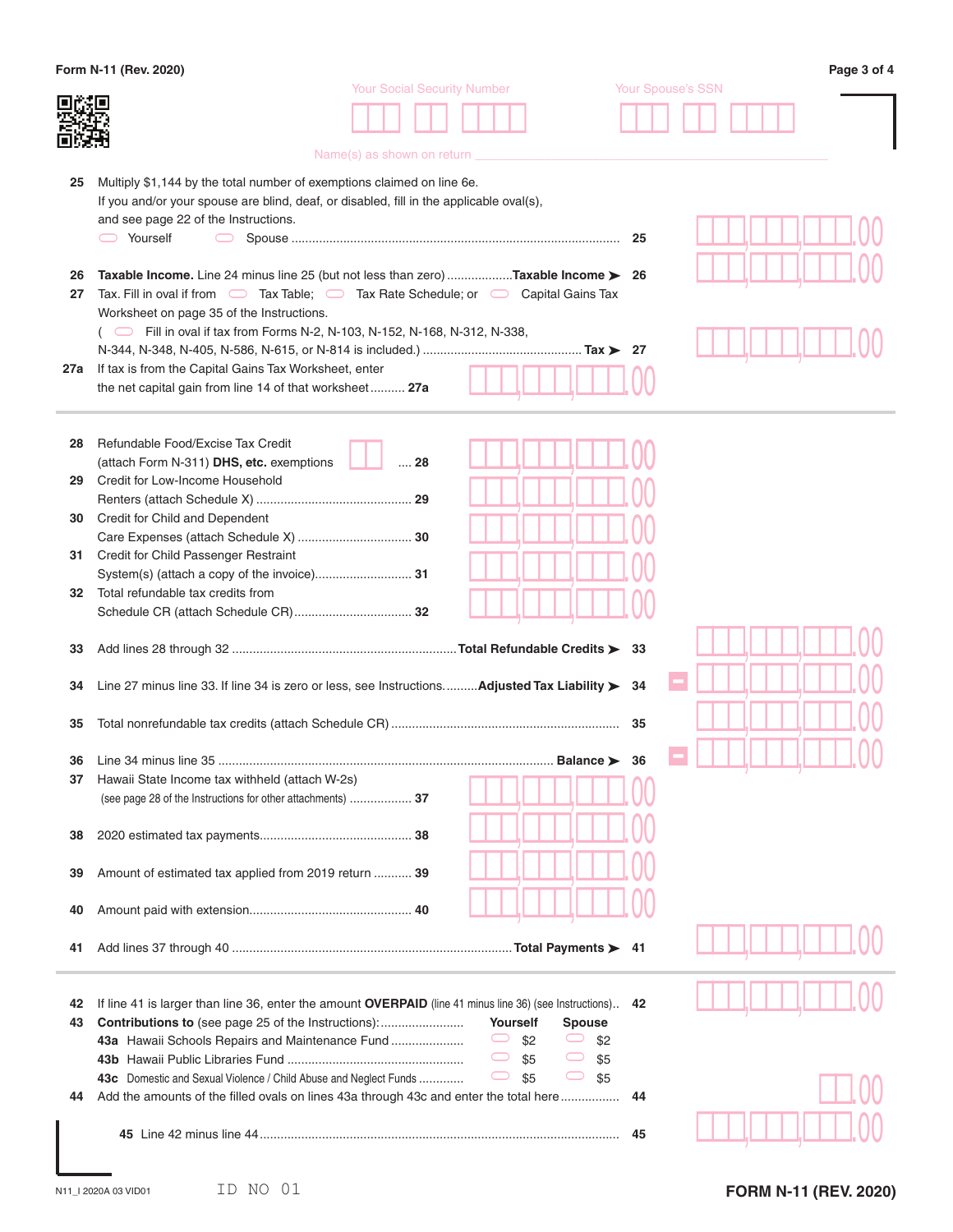|     | Form N-11 (Rev. 2020)                                                                                                                                           |                          | Page 3 of 4 |
|-----|-----------------------------------------------------------------------------------------------------------------------------------------------------------------|--------------------------|-------------|
|     | <b>Your Social Security Number</b>                                                                                                                              | <b>Your Spouse's SSN</b> |             |
|     |                                                                                                                                                                 |                          |             |
|     |                                                                                                                                                                 |                          |             |
|     | Name(s) as shown on return                                                                                                                                      |                          |             |
| 25  | Multiply \$1,144 by the total number of exemptions claimed on line 6e.                                                                                          |                          |             |
|     | If you and/or your spouse are blind, deaf, or disabled, fill in the applicable oval(s),                                                                         |                          |             |
|     | and see page 22 of the Instructions.                                                                                                                            |                          |             |
|     | Yourself<br>25                                                                                                                                                  |                          |             |
|     |                                                                                                                                                                 |                          |             |
| 26  | Taxable Income. Line 24 minus line 25 (but not less than zero) Taxable Income > 26                                                                              |                          |             |
| 27  | Tax. Fill in oval if from $\Box$ Tax Table; $\Box$ Tax Rate Schedule; or $\Box$ Capital Gains Tax                                                               |                          |             |
|     | Worksheet on page 35 of the Instructions.                                                                                                                       |                          |             |
|     | ( $\Box$ Fill in oval if tax from Forms N-2, N-103, N-152, N-168, N-312, N-338,                                                                                 |                          |             |
|     |                                                                                                                                                                 |                          |             |
| 27a | If tax is from the Capital Gains Tax Worksheet, enter                                                                                                           |                          |             |
|     | the net capital gain from line 14 of that worksheet 27a                                                                                                         |                          |             |
|     |                                                                                                                                                                 |                          |             |
|     |                                                                                                                                                                 |                          |             |
| 28  | Refundable Food/Excise Tax Credit<br>$\ldots$ 28                                                                                                                |                          |             |
|     | (attach Form N-311) DHS, etc. exemptions                                                                                                                        |                          |             |
| 29  | Credit for Low-Income Household                                                                                                                                 |                          |             |
| 30  | Credit for Child and Dependent                                                                                                                                  |                          |             |
|     |                                                                                                                                                                 |                          |             |
| 31  | Credit for Child Passenger Restraint                                                                                                                            |                          |             |
|     |                                                                                                                                                                 |                          |             |
| 32  | Total refundable tax credits from                                                                                                                               |                          |             |
|     |                                                                                                                                                                 |                          |             |
|     |                                                                                                                                                                 |                          |             |
| 33  |                                                                                                                                                                 |                          |             |
|     |                                                                                                                                                                 |                          |             |
| 34  | Line 27 minus line 33. If line 34 is zero or less, see Instructions Adjusted Tax Liability > 34                                                                 |                          |             |
|     |                                                                                                                                                                 |                          |             |
| 35  | 35                                                                                                                                                              |                          |             |
|     | <b>36</b> Line 34 minus line 35.<br>Balance $\blacktriangleright$<br>36                                                                                         |                          |             |
| 37  | Hawaii State Income tax withheld (attach W-2s)                                                                                                                  |                          |             |
|     | (see page 28 of the Instructions for other attachments)  37                                                                                                     |                          |             |
|     |                                                                                                                                                                 |                          |             |
| 38  |                                                                                                                                                                 |                          |             |
|     |                                                                                                                                                                 |                          |             |
| 39  | Amount of estimated tax applied from 2019 return  39                                                                                                            |                          |             |
|     |                                                                                                                                                                 |                          |             |
| 40  |                                                                                                                                                                 |                          |             |
|     |                                                                                                                                                                 |                          |             |
| 41  |                                                                                                                                                                 |                          |             |
|     |                                                                                                                                                                 |                          |             |
|     |                                                                                                                                                                 |                          |             |
| 42  | If line 41 is larger than line 36, enter the amount OVERPAID (line 41 minus line 36) (see Instructions)<br>42                                                   |                          |             |
| 43  | <b>Contributions to</b> (see page 25 of the Instructions):<br>Yourself<br><b>Spouse</b><br>$\displaystyle\bigcirc$                                              |                          |             |
|     | 43a Hawaii Schools Repairs and Maintenance Fund<br>\$2<br>\$2<br>$\displaystyle\bigcirc$                                                                        |                          |             |
|     | $\bigcirc$<br>\$5<br>\$5<br>$\displaystyle\bigcirc$<br>$\bigcirc$<br>\$5<br>\$5                                                                                 |                          |             |
| 44  | 43c Domestic and Sexual Violence / Child Abuse and Neglect Funds<br>Add the amounts of the filled ovals on lines 43a through 43c and enter the total here<br>44 |                          |             |
|     |                                                                                                                                                                 |                          |             |
|     | 45                                                                                                                                                              |                          |             |
|     |                                                                                                                                                                 |                          |             |
|     |                                                                                                                                                                 |                          |             |